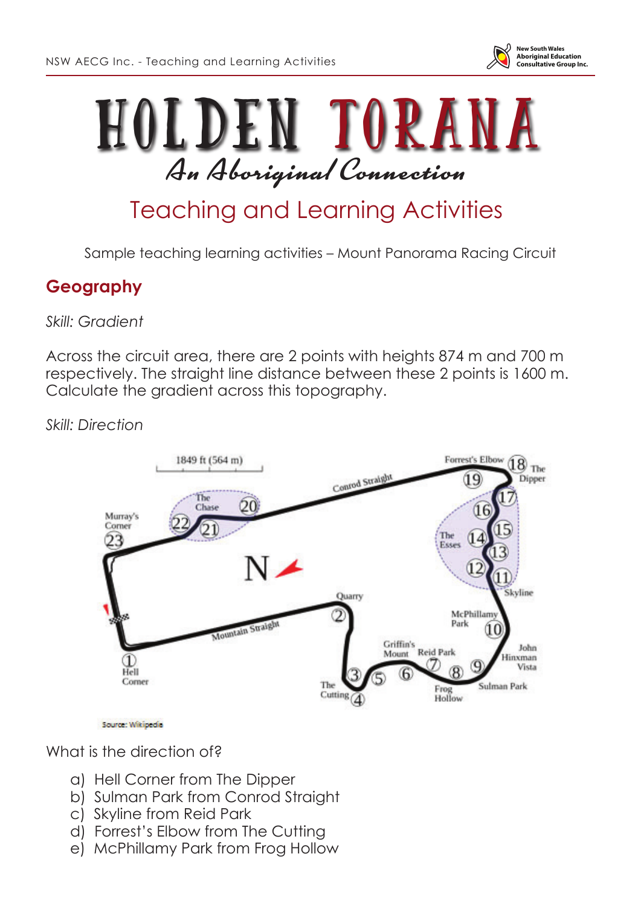



## Teaching and Learning Activities

Sample teaching learning activities – Mount Panorama Racing Circuit

## **Geography**

*Skill: Gradient*

Across the circuit area, there are 2 points with heights 874 m and 700 m respectively. The straight line distance between these 2 points is 1600 m. Calculate the gradient across this topography.

*Skill: Direction*



Source: Wikipedia

What is the direction of?

- a) Hell Corner from The Dipper
- b) Sulman Park from Conrod Straight
- c) Skyline from Reid Park
- d) Forrest's Elbow from The Cutting
- e) McPhillamy Park from Frog Hollow